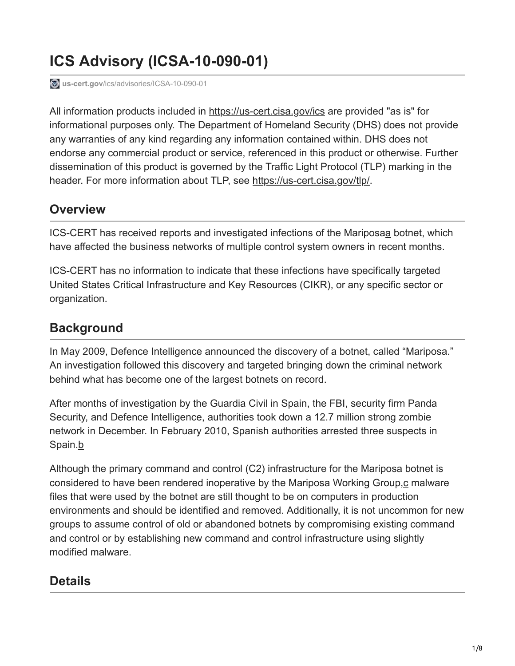# **ICS Advisory (ICSA-10-090-01)**

**us-cert.gov**[/ics/advisories/ICSA-10-090-01](https://www.us-cert.gov/ics/advisories/ICSA-10-090-01)

All information products included in [https://us-cert.cisa.gov/ics](https://www.us-cert.gov/ics) are provided "as is" for informational purposes only. The Department of Homeland Security (DHS) does not provide any warranties of any kind regarding any information contained within. DHS does not endorse any commercial product or service, referenced in this product or otherwise. Further dissemination of this product is governed by the Traffic Light Protocol (TLP) marking in the header. For more information about TLP, see [https://us-cert.cisa.gov/tlp/.](https://www.us-cert.gov/tlp/)

# **Overview**

ICS-CERT has received reports and investigated infections of the Mariposaa botnet, which have affected the business networks of multiple control system owners in recent months.

ICS-CERT has no information to indicate that these infections have specifically targeted United States Critical Infrastructure and Key Resources (CIKR), or any specific sector or organization.

# **Background**

In May 2009, Defence Intelligence announced the discovery of a botnet, called "Mariposa." An investigation followed this discovery and targeted bringing down the criminal network behind what has become one of the largest botnets on record.

After months of investigation by the Guardia Civil in Spain, the FBI, security firm Panda Security, and Defence Intelligence, authorities took down a 12.7 million strong zombie network in December. In February 2010, Spanish authorities arrested three suspects in Spain.b

Although the primary command and control (C2) infrastructure for the Mariposa botnet is considered to have been rendered inoperative by the Mariposa Working Group,c malware files that were used by the botnet are still thought to be on computers in production environments and should be identified and removed. Additionally, it is not uncommon for new groups to assume control of old or abandoned botnets by compromising existing command and control or by establishing new command and control infrastructure using slightly modified malware.

# **Details**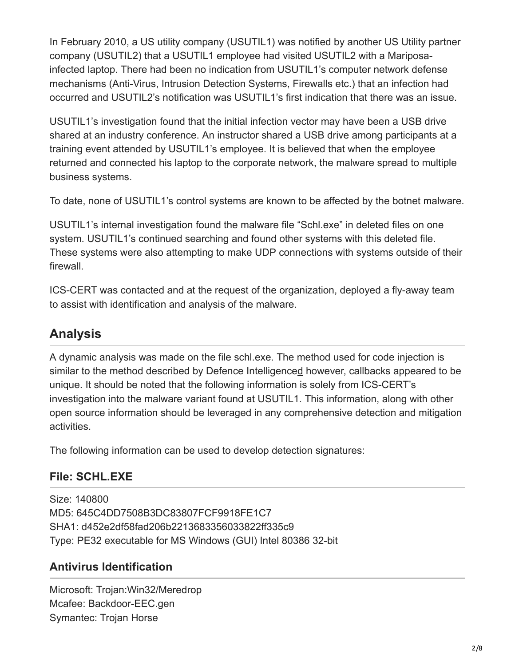In February 2010, a US utility company (USUTIL1) was notified by another US Utility partner company (USUTIL2) that a USUTIL1 employee had visited USUTIL2 with a Mariposainfected laptop. There had been no indication from USUTIL1's computer network defense mechanisms (Anti-Virus, Intrusion Detection Systems, Firewalls etc.) that an infection had occurred and USUTIL2's notification was USUTIL1's first indication that there was an issue.

USUTIL1's investigation found that the initial infection vector may have been a USB drive shared at an industry conference. An instructor shared a USB drive among participants at a training event attended by USUTIL1's employee. It is believed that when the employee returned and connected his laptop to the corporate network, the malware spread to multiple business systems.

To date, none of USUTIL1's control systems are known to be affected by the botnet malware.

USUTIL1's internal investigation found the malware file "Schl.exe" in deleted files on one system. USUTIL1's continued searching and found other systems with this deleted file. These systems were also attempting to make UDP connections with systems outside of their firewall.

ICS-CERT was contacted and at the request of the organization, deployed a fly-away team to assist with identification and analysis of the malware.

# **Analysis**

A dynamic analysis was made on the file schl.exe. The method used for code injection is similar to the method described by Defence Intelligenced however, callbacks appeared to be unique. It should be noted that the following information is solely from ICS-CERT's investigation into the malware variant found at USUTIL1. This information, along with other open source information should be leveraged in any comprehensive detection and mitigation activities.

The following information can be used to develop detection signatures:

# **File: SCHL.EXE**

Size: 140800 MD5: 645C4DD7508B3DC83807FCF9918FE1C7 SHA1: d452e2df58fad206b2213683356033822ff335c9 Type: PE32 executable for MS Windows (GUI) Intel 80386 32-bit

#### **Antivirus Identification**

Microsoft: Trojan:Win32/Meredrop Mcafee: Backdoor-EEC.gen Symantec: Trojan Horse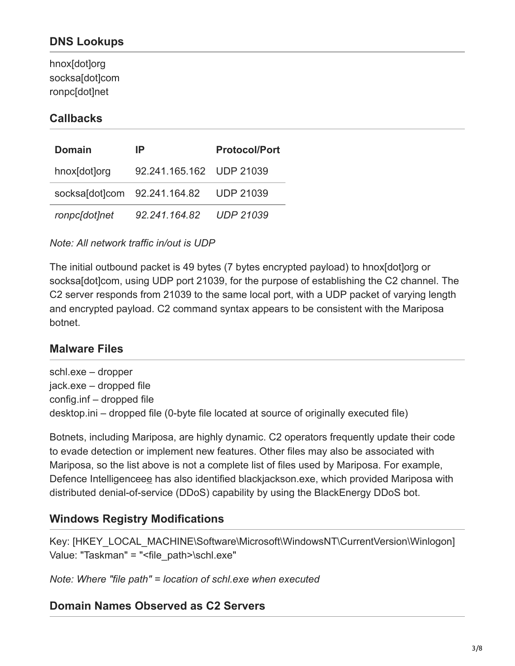#### **DNS Lookups**

hnox[dot]org socksa[dot]com ronpc[dot]net

#### **Callbacks**

| <b>Domain</b> | IP                                     | <b>Protocol/Port</b> |
|---------------|----------------------------------------|----------------------|
| hnox[dot]org  | 92.241.165.162 UDP 21039               |                      |
|               | socksaldotlcom 92.241.164.82 UDP 21039 |                      |
| ronpc[dot]net | 92.241.164.82                          | <b>UDP 21039</b>     |

*Note: All network traffic in/out is UDP*

The initial outbound packet is 49 bytes (7 bytes encrypted payload) to hnox[dot]org or socksa[dot]com, using UDP port 21039, for the purpose of establishing the C2 channel. The C2 server responds from 21039 to the same local port, with a UDP packet of varying length and encrypted payload. C2 command syntax appears to be consistent with the Mariposa botnet.

#### **Malware Files**

schl.exe – dropper jack.exe – dropped file config.inf – dropped file desktop.ini – dropped file (0-byte file located at source of originally executed file)

Botnets, including Mariposa, are highly dynamic. C2 operators frequently update their code to evade detection or implement new features. Other files may also be associated with Mariposa, so the list above is not a complete list of files used by Mariposa. For example, Defence Intelligenceee has also identified blackjackson.exe, which provided Mariposa with distributed denial-of-service (DDoS) capability by using the BlackEnergy DDoS bot.

#### **Windows Registry Modifications**

Key: [HKEY\_LOCAL\_MACHINE\Software\Microsoft\WindowsNT\CurrentVersion\Winlogon] Value: "Taskman" = "<file\_path>\schl.exe"

*Note: Where "file path" = location of schl.exe when executed*

#### **Domain Names Observed as C2 Servers**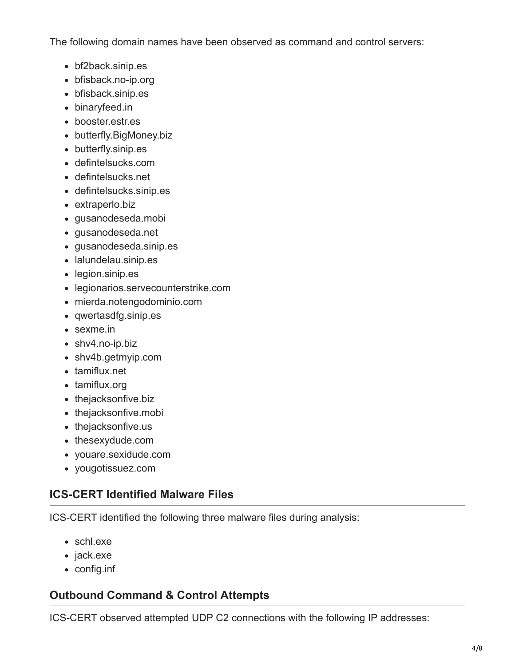The following domain names have been observed as command and control servers:

- bf2back.sinip.es
- bfisback.no-ip.org
- bfisback.sinip.es
- binaryfeed.in
- booster.estr.es
- butterfly.BigMoney.biz
- butterfly.sinip.es
- defintelsucks.com
- defintelsucks.net
- defintelsucks.sinip.es
- extraperlo.biz
- gusanodeseda.mobi
- gusanodeseda.net
- gusanodeseda.sinip.es
- lalundelau.sinip.es
- legion.sinip.es
- legionarios.servecounterstrike.com
- mierda.notengodominio.com
- qwertasdfg.sinip.es
- sexme.in
- shv4.no-ip.biz
- shv4b.getmyip.com
- tamiflux.net
- tamiflux.org
- thejacksonfive.biz
- thejacksonfive.mobi
- thejacksonfive.us
- thesexydude.com
- youare.sexidude.com
- yougotissuez.com

# **ICS-CERT Identified Malware Files**

ICS-CERT identified the following three malware files during analysis:

- schl.exe
- jack.exe
- config.inf

# **Outbound Command & Control Attempts**

ICS-CERT observed attempted UDP C2 connections with the following IP addresses: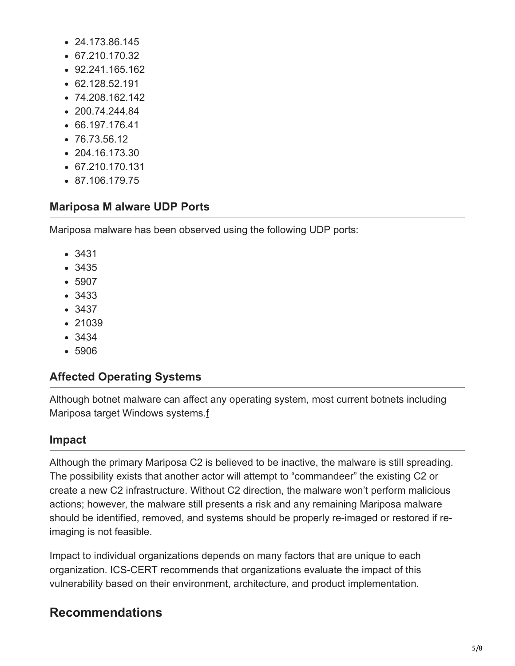- 24.173.86.145
- 67.210.170.32
- 92.241.165.162
- 62.128.52.191
- 74.208.162.142
- $-200.74.244.84$
- 66.197.176.41
- 76.73.56.12
- 204.16.173.30
- $-67.210.170.131$
- 87.106.179.75

#### **Mariposa M alware UDP Ports**

Mariposa malware has been observed using the following UDP ports:

- 3431
- 3435
- 5907
- 3433
- 3437
- 21039
- 3434
- 5906

#### **Affected Operating Systems**

Although botnet malware can affect any operating system, most current botnets including Mariposa target Windows systems.f

#### **Impact**

Although the primary Mariposa C2 is believed to be inactive, the malware is still spreading. The possibility exists that another actor will attempt to "commandeer" the existing C2 or create a new C2 infrastructure. Without C2 direction, the malware won't perform malicious actions; however, the malware still presents a risk and any remaining Mariposa malware should be identified, removed, and systems should be properly re-imaged or restored if reimaging is not feasible.

Impact to individual organizations depends on many factors that are unique to each organization. ICS-CERT recommends that organizations evaluate the impact of this vulnerability based on their environment, architecture, and product implementation.

# **Recommendations**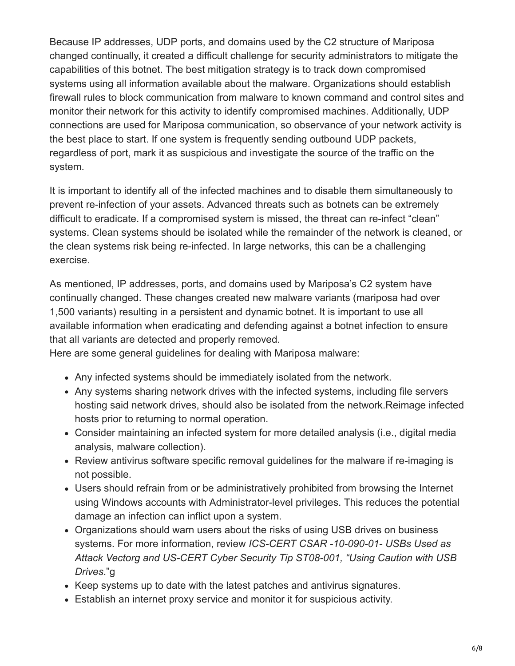Because IP addresses, UDP ports, and domains used by the C2 structure of Mariposa changed continually, it created a difficult challenge for security administrators to mitigate the capabilities of this botnet. The best mitigation strategy is to track down compromised systems using all information available about the malware. Organizations should establish firewall rules to block communication from malware to known command and control sites and monitor their network for this activity to identify compromised machines. Additionally, UDP connections are used for Mariposa communication, so observance of your network activity is the best place to start. If one system is frequently sending outbound UDP packets, regardless of port, mark it as suspicious and investigate the source of the traffic on the system.

It is important to identify all of the infected machines and to disable them simultaneously to prevent re-infection of your assets. Advanced threats such as botnets can be extremely difficult to eradicate. If a compromised system is missed, the threat can re-infect "clean" systems. Clean systems should be isolated while the remainder of the network is cleaned, or the clean systems risk being re-infected. In large networks, this can be a challenging exercise.

As mentioned, IP addresses, ports, and domains used by Mariposa's C2 system have continually changed. These changes created new malware variants (mariposa had over 1,500 variants) resulting in a persistent and dynamic botnet. It is important to use all available information when eradicating and defending against a botnet infection to ensure that all variants are detected and properly removed.

Here are some general guidelines for dealing with Mariposa malware:

- Any infected systems should be immediately isolated from the network.
- Any systems sharing network drives with the infected systems, including file servers hosting said network drives, should also be isolated from the network.Reimage infected hosts prior to returning to normal operation.
- Consider maintaining an infected system for more detailed analysis (i.e., digital media analysis, malware collection).
- Review antivirus software specific removal guidelines for the malware if re-imaging is not possible.
- Users should refrain from or be administratively prohibited from browsing the Internet using Windows accounts with Administrator-level privileges. This reduces the potential damage an infection can inflict upon a system.
- Organizations should warn users about the risks of using USB drives on business systems. For more information, review *ICS-CERT CSAR -10-090-01- USBs Used as Attack Vectorg and US-CERT Cyber Security Tip ST08-001, "Using Caution with USB Drives*."g
- Keep systems up to date with the latest patches and antivirus signatures.
- Establish an internet proxy service and monitor it for suspicious activity.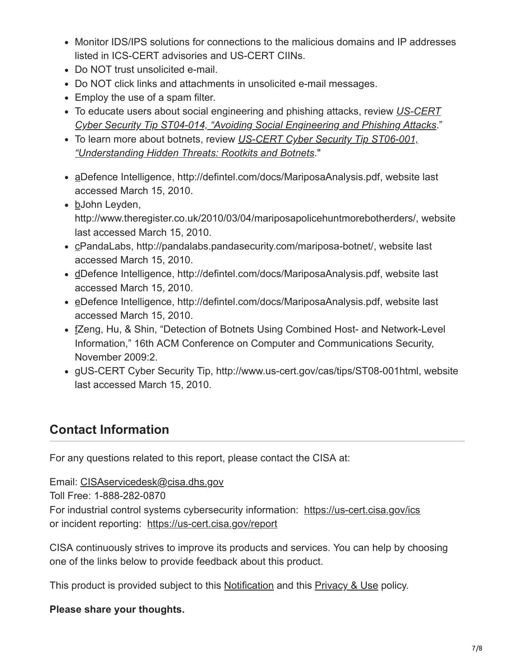- Monitor IDS/IPS solutions for connections to the malicious domains and IP addresses listed in ICS-CERT advisories and US-CERT CIINs.
- Do NOT trust unsolicited e-mail.
- Do NOT click links and attachments in unsolicited e-mail messages.
- Employ the use of a spam filter.
- To educate users about social engineering and phishing attacks, review *US-CERT [Cyber Security Tip ST04-014, "Avoiding Social Engineering and Phishing Attacks](https://www.us-cert.gov/cas/tips/ST04-014.html)*."
- To learn more about botnets, review *US-CERT Cyber Security Tip ST06-001, ["Understanding Hidden Threats: Rootkits and Botnets](https://www.us-cert.gov/cas/tips/ST06-001.html)*."
- aDefence Intelligence, http://defintel.com/docs/MariposaAnalysis.pdf, website last accessed March 15, 2010.
- bJohn Leyden, http://www.theregister.co.uk/2010/03/04/mariposapolicehuntmorebotherders/, website last accessed March 15, 2010.
- cPandaLabs, http://pandalabs.pandasecurity.com/mariposa-botnet/, website last accessed March 15, 2010.
- dDefence Intelligence, http://defintel.com/docs/MariposaAnalysis.pdf, website last accessed March 15, 2010.
- eDefence Intelligence, http://defintel.com/docs/MariposaAnalysis.pdf, website last accessed March 15, 2010.
- fZeng, Hu, & Shin, "Detection of Botnets Using Combined Host- and Network-Level Information," 16th ACM Conference on Computer and Communications Security, November 2009:2.
- gUS-CERT Cyber Security Tip, http://www.us-cert.gov/cas/tips/ST08-001html, website last accessed March 15, 2010.

# **Contact Information**

For any questions related to this report, please contact the CISA at:

Email: [CISAservicedesk@cisa.dhs.gov](http://10.10.0.46/mailto:cisaservicedesk@cisa.dhs.gov) Toll Free: 1-888-282-0870 For industrial control systems cybersecurity information: [https://us-cert.cisa.gov/ics](https://www.us-cert.gov/ics) or incident reporting: [https://us-cert.cisa.gov/report](https://www.us-cert.gov/report)

CISA continuously strives to improve its products and services. You can help by choosing one of the links below to provide feedback about this product.

This product is provided subject to this [Notification](https://www.us-cert.gov/privacy/notification) and this [Privacy & Use](https://www.dhs.gov/privacy-policy) policy.

#### **Please share your thoughts.**